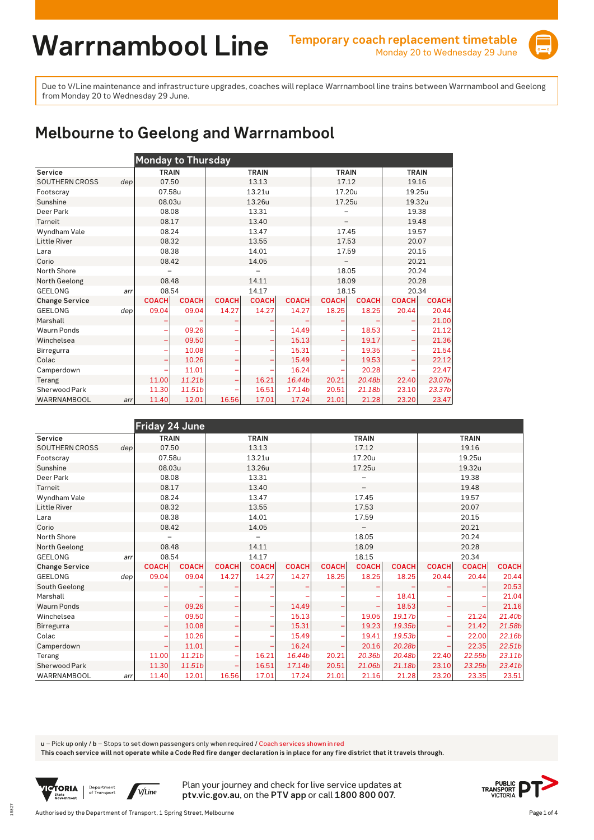

## **Melbourne to Geelong and Warrnambool**

|                       |     | <b>Monday to Thursday</b> |              |              |              |              |              |              |              |              |  |  |  |  |
|-----------------------|-----|---------------------------|--------------|--------------|--------------|--------------|--------------|--------------|--------------|--------------|--|--|--|--|
| Service               |     | <b>TRAIN</b>              |              |              | <b>TRAIN</b> |              | <b>TRAIN</b> |              | <b>TRAIN</b> |              |  |  |  |  |
| <b>SOUTHERN CROSS</b> | dep | 07.50                     |              |              | 13.13        |              | 17.12        |              | 19.16        |              |  |  |  |  |
| Footscray             |     | 07.58u                    |              |              | 13.21u       |              | 17.20u       |              | 19.25u       |              |  |  |  |  |
| Sunshine              |     | 08.03u                    |              |              | 13.26u       |              | 17.25u       |              | 19.32u       |              |  |  |  |  |
| Deer Park             |     | 08.08                     |              |              | 13.31        |              |              |              | 19.38        |              |  |  |  |  |
| Tarneit               |     | 08.17                     |              |              | 13.40        |              |              |              | 19.48        |              |  |  |  |  |
| Wyndham Vale          |     | 08.24                     |              |              | 13.47        |              | 17.45        |              | 19.57        |              |  |  |  |  |
| <b>Little River</b>   |     | 08.32                     |              |              | 13.55        |              | 17.53        |              | 20.07        |              |  |  |  |  |
| Lara                  |     | 08.38                     |              |              | 14.01        |              | 17.59        |              | 20.15        |              |  |  |  |  |
| Corio                 |     | 08.42                     |              |              | 14.05        |              |              |              | 20.21        |              |  |  |  |  |
| North Shore           |     |                           |              |              |              |              | 18.05        |              | 20.24        |              |  |  |  |  |
| North Geelong         |     | 08.48                     |              |              | 14.11        |              | 18.09        |              | 20.28        |              |  |  |  |  |
| <b>GEELONG</b>        | arr | 08.54                     |              |              | 14.17        |              |              | 18.15        | 20.34        |              |  |  |  |  |
| <b>Change Service</b> |     | <b>COACH</b>              | <b>COACH</b> | <b>COACH</b> | <b>COACH</b> | <b>COACH</b> | <b>COACH</b> | <b>COACH</b> | <b>COACH</b> | <b>COACH</b> |  |  |  |  |
| <b>GEELONG</b>        | dep | 09.04                     | 09.04        | 14.27        | 14.27        | 14.27        | 18.25        | 18.25        | 20.44        | 20.44        |  |  |  |  |
| Marshall              |     |                           |              |              |              |              |              |              |              | 21.00        |  |  |  |  |
| <b>Waurn Ponds</b>    |     |                           | 09.26        |              |              | 14.49        |              | 18.53        |              | 21.12        |  |  |  |  |
| Winchelsea            |     |                           | 09.50        |              |              | 15.13        |              | 19.17        |              | 21.36        |  |  |  |  |
| Birregurra            |     |                           | 10.08        |              |              | 15.31        |              | 19.35        |              | 21.54        |  |  |  |  |
| Colac                 |     |                           | 10.26        |              |              | 15.49        |              | 19.53        |              | 22.12        |  |  |  |  |
| Camperdown            |     |                           | 11.01        |              |              | 16.24        |              | 20.28        | ۰            | 22.47        |  |  |  |  |
| Terang                |     | 11.00                     | 11.21b       |              | 16.21        | 16.44b       | 20.21        | 20.48b       | 22.40        | 23.07b       |  |  |  |  |
| Sherwood Park         |     | 11.30                     | 11.51b       |              | 16.51        | 17.14b       | 20.51        | 21.18b       | 23.10        | 23.37b       |  |  |  |  |
| WARRNAMBOOL           | arr | 11.40                     | 12.01        | 16.56        | 17.01        | 17.24        | 21.01        | 21.28        | 23.20        | 23.47        |  |  |  |  |

|                       |     | <b>Friday 24 June</b> |              |              |              |              |              |              |              |              |              |                    |  |
|-----------------------|-----|-----------------------|--------------|--------------|--------------|--------------|--------------|--------------|--------------|--------------|--------------|--------------------|--|
| Service               |     | <b>TRAIN</b>          |              |              | <b>TRAIN</b> |              | <b>TRAIN</b> |              |              |              | <b>TRAIN</b> |                    |  |
| <b>SOUTHERN CROSS</b> | dep | 07.50                 |              | 13.13        |              |              | 17.12        |              |              | 19.16        |              |                    |  |
| Footscray             |     | 07.58u                |              |              | 13.21u       |              | 17.20u       |              |              | 19.25u       |              |                    |  |
| Sunshine              |     | 08.03u                |              |              | 13.26u       |              | 17.25u       |              |              |              |              |                    |  |
| Deer Park             |     | 08.08                 |              |              | 13.31        |              |              |              |              | 19.38        |              |                    |  |
| Tarneit               |     | 08.17                 |              |              | 13.40        |              |              |              |              | 19.48        |              |                    |  |
| Wyndham Vale          |     | 08.24                 |              | 13.47        |              |              |              | 17.45        |              |              | 19.57        |                    |  |
| <b>Little River</b>   |     | 08.32                 |              |              | 13.55        |              |              | 17.53        |              |              | 20.07        |                    |  |
| Lara                  |     | 08.38                 |              | 14.01        |              |              |              | 17.59        |              |              | 20.15        |                    |  |
| Corio                 |     | 08.42                 |              | 14.05        |              |              |              |              |              | 20.21        |              |                    |  |
| North Shore           |     |                       |              |              |              |              |              | 18.05        |              |              | 20.24        |                    |  |
| North Geelong         |     | 08.48                 |              | 14.11        |              |              |              | 18.09        |              |              | 20.28        |                    |  |
| <b>GEELONG</b>        | arr | 08.54                 |              |              | 14.17        |              |              | 18.15        |              |              | 20.34        |                    |  |
| <b>Change Service</b> |     | <b>COACH</b>          | <b>COACH</b> | <b>COACH</b> | <b>COACH</b> | <b>COACH</b> | <b>COACH</b> | <b>COACH</b> | <b>COACH</b> | <b>COACH</b> | <b>COACH</b> | <b>COACH</b>       |  |
| <b>GEELONG</b>        | dep | 09.04                 | 09.04        | 14.27        | 14.27        | 14.27        | 18.25        | 18.25        | 18.25        | 20.44        | 20.44        | 20.44              |  |
| South Geelong         |     |                       |              |              |              |              |              |              |              |              |              | 20.53              |  |
| Marshall              |     |                       |              |              |              |              |              |              | 18.41        |              |              | 21.04              |  |
| <b>Waurn Ponds</b>    |     |                       | 09.26        | ۰            |              | 14.49        |              |              | 18.53        | ۰            |              | 21.16              |  |
| Winchelsea            |     |                       | 09.50        |              |              | 15.13        |              | 19.05        | 19.17b       |              | 21.24        | 21.40b             |  |
| Birregurra            |     |                       | 10.08        |              |              | 15.31        |              | 19.23        | 19.35b       |              | 21.42        | 21.58b             |  |
| Colac                 |     |                       | 10.26        |              |              | 15.49        |              | 19.41        | 19.53b       |              | 22.00        | 22.16b             |  |
| Camperdown            |     |                       | 11.01        | ۰            | ۰            | 16.24        | -            | 20.16        | 20.28b       | -            | 22.35        | 22.51 <sub>b</sub> |  |
| Terang                |     | 11.00                 | 11.21b       |              | 16.21        | 16.44b       | 20.21        | 20.36b       | 20.48b       | 22.40        | 22.55b       | 23.11b             |  |
| Sherwood Park         |     | 11.30                 | 11.51b       |              | 16.51        | 17.14b       | 20.51        | 21.06b       | 21.18b       | 23.10        | 23.25b       | 23.41b             |  |
| WARRNAMBOOL           | arr | 11.40                 | 12.01        | 16.56        | 17.01        | 17.24        | 21.01        | 21.16        | 21.28        | 23.20        | 23.35        | 23.51              |  |

**u** – Pick up only / **b** – Stops to set down passengers only when required / Coach services shown in red

**This coach service will not operate while a Code Red fire danger declaration is in place for any fire district that it travels through.**



15827

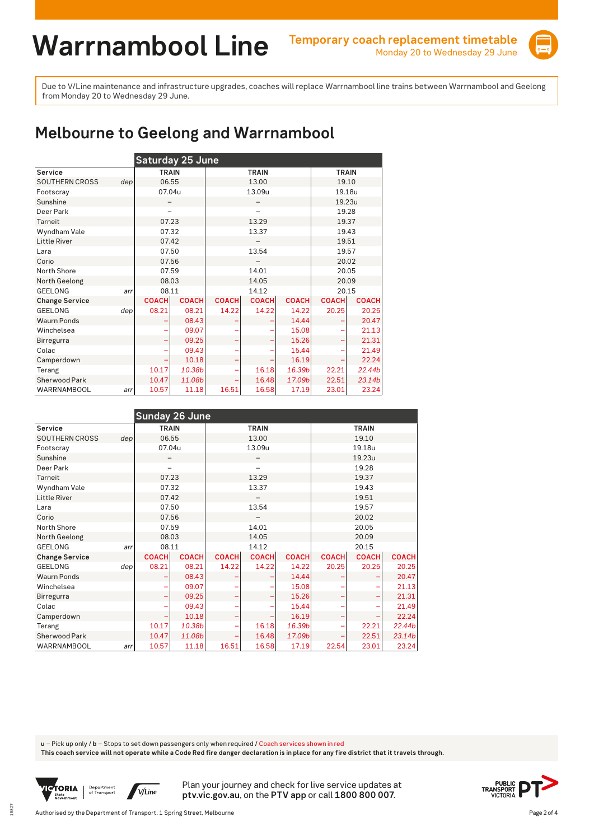

## **Melbourne to Geelong and Warrnambool**

|                       |     | Saturday 25 June |              |              |              |              |              |              |  |  |  |  |  |
|-----------------------|-----|------------------|--------------|--------------|--------------|--------------|--------------|--------------|--|--|--|--|--|
| Service               |     | <b>TRAIN</b>     |              |              | <b>TRAIN</b> |              | <b>TRAIN</b> |              |  |  |  |  |  |
| <b>SOUTHERN CROSS</b> | dep | 06.55            |              |              | 13.00        |              | 19.10        |              |  |  |  |  |  |
| Footscray             |     | 07.04u           |              |              | 13.09u       |              | 19.18u       |              |  |  |  |  |  |
| Sunshine              |     |                  |              |              |              |              | 19.23u       |              |  |  |  |  |  |
| Deer Park             |     |                  |              |              |              |              | 19.28        |              |  |  |  |  |  |
| <b>Tarneit</b>        |     | 07.23            |              |              | 13.29        |              | 19.37        |              |  |  |  |  |  |
| Wyndham Vale          |     | 07.32            |              |              | 13.37        |              | 19.43        |              |  |  |  |  |  |
| <b>Little River</b>   |     | 07.42            |              |              |              |              | 19.51        |              |  |  |  |  |  |
| Lara                  |     | 07.50            |              |              | 13.54        |              | 19.57        |              |  |  |  |  |  |
| Corio                 |     | 07.56            |              |              |              |              | 20.02        |              |  |  |  |  |  |
| North Shore           |     | 07.59            |              |              | 14.01        |              | 20.05        |              |  |  |  |  |  |
| North Geelong         |     | 08.03            |              |              | 14.05        |              | 20.09        |              |  |  |  |  |  |
| <b>GEELONG</b>        | arr | 08.11            |              |              | 14.12        |              | 20.15        |              |  |  |  |  |  |
| <b>Change Service</b> |     | <b>COACH</b>     | <b>COACH</b> | <b>COACH</b> | <b>COACH</b> | <b>COACH</b> | <b>COACH</b> | <b>COACH</b> |  |  |  |  |  |
| <b>GEELONG</b>        | dep | 08.21            | 08.21        | 14.22        | 14.22        | 14.22        | 20.25        | 20.25        |  |  |  |  |  |
| <b>Waurn Ponds</b>    |     |                  | 08.43        |              |              | 14.44        |              | 20.47        |  |  |  |  |  |
| Winchelsea            |     |                  | 09.07        |              |              | 15.08        |              | 21.13        |  |  |  |  |  |
| Birregurra            |     |                  | 09.25        |              |              | 15.26        |              | 21.31        |  |  |  |  |  |
| Colac                 |     |                  | 09.43        |              |              | 15.44        |              | 21.49        |  |  |  |  |  |
| Camperdown            |     |                  | 10.18        |              |              | 16.19        |              | 22.24        |  |  |  |  |  |
| Terang                |     | 10.17            | 10.38b       | 22.21        | 22.44b       |              |              |              |  |  |  |  |  |
| Sherwood Park         |     | 10.47            | 11.08b       |              | 16.48        | 17.09b       | 22.51        | 23.14b       |  |  |  |  |  |
| WARRNAMBOOL           | arr | 10.57            | 11.18        | 16.51        | 16.58        | 17.19        | 23.01        | 23.24        |  |  |  |  |  |

|                       |     | <b>Sunday 26 June</b> |              |              |              |              |              |              |              |  |
|-----------------------|-----|-----------------------|--------------|--------------|--------------|--------------|--------------|--------------|--------------|--|
| Service               |     | <b>TRAIN</b>          |              |              | <b>TRAIN</b> |              | <b>TRAIN</b> |              |              |  |
| <b>SOUTHERN CROSS</b> | dep | 06.55                 |              |              | 13.00        |              | 19.10        |              |              |  |
| Footscray             |     | 07.04u                |              |              | 13.09u       |              |              | 19.18u       |              |  |
| Sunshine              |     |                       |              |              |              |              |              | 19.23u       |              |  |
| Deer Park             |     |                       |              |              |              |              |              | 19.28        |              |  |
| Tarneit               |     | 07.23                 |              |              | 13.29        |              |              | 19.37        |              |  |
| Wyndham Vale          |     | 07.32                 |              |              | 13.37        |              |              | 19.43        |              |  |
| Little River          |     | 07.42                 |              |              |              |              |              | 19.51        |              |  |
| Lara                  |     | 07.50                 |              |              | 13.54        |              | 19.57        |              |              |  |
| Corio                 |     | 07.56                 |              |              |              |              | 20.02        |              |              |  |
| North Shore           |     | 07.59                 |              |              | 14.01        |              |              | 20.05        |              |  |
| North Geelong         |     | 08.03                 |              |              | 14.05        |              |              | 20.09        |              |  |
| <b>GEELONG</b>        | arr | 08.11                 |              |              | 14.12        |              |              | 20.15        |              |  |
| <b>Change Service</b> |     | <b>COACH</b>          | <b>COACH</b> | <b>COACH</b> | <b>COACH</b> | <b>COACH</b> | <b>COACH</b> | <b>COACH</b> | <b>COACH</b> |  |
| <b>GEELONG</b>        | dep | 08.21                 | 08.21        | 14.22        | 14.22        | 14.22        | 20.25        | 20.25        | 20.25        |  |
| <b>Waurn Ponds</b>    |     |                       | 08.43        |              |              | 14.44        |              |              | 20.47        |  |
| Winchelsea            |     |                       | 09.07        |              |              | 15.08        |              |              | 21.13        |  |
| Birregurra            |     |                       | 09.25        |              |              | 15.26        |              |              | 21.31        |  |
| Colac                 |     |                       | 09.43        |              |              | 15.44        |              |              | 21.49        |  |
| Camperdown            |     |                       | 10.18        |              |              | 16.19        |              |              | 22.24        |  |
| Terang                |     | 10.17                 | 10.38b       |              | 16.18        | 16.39b       |              | 22.21        | 22.44b       |  |
| Sherwood Park         |     | 10.47                 | 11.08b       |              | 16.48        | 17.09b       |              | 22.51        | 23.14b       |  |
| WARRNAMBOOL           | arr | 10.57                 | 11.18        | 16.51        | 16.58        | 17.19        | 22.54        | 23.01        | 23.24        |  |

**u** – Pick up only / **b** – Stops to set down passengers only when required / Coach services shown in red

**This coach service will not operate while a Code Red fire danger declaration is in place for any fire district that it travels through.**



15827

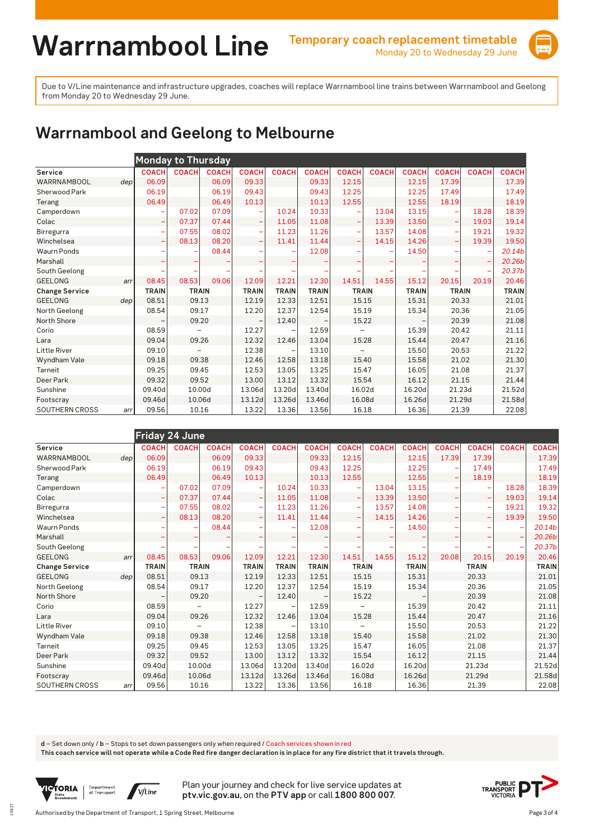

## **Warrnambool and Geelong to Melbourne**

|                       |                  |              | <b>Monday to Thursday</b> |              |              |              |              |                          |              |              |              |              |              |
|-----------------------|------------------|--------------|---------------------------|--------------|--------------|--------------|--------------|--------------------------|--------------|--------------|--------------|--------------|--------------|
| Service               |                  | <b>COACH</b> | <b>COACH</b>              | <b>COACH</b> | <b>COACH</b> | <b>COACH</b> | <b>COACH</b> | <b>COACH</b>             | <b>COACH</b> | <b>COACH</b> | <b>COACH</b> | <b>COACH</b> | <b>COACH</b> |
| WARRNAMBOOL           | dep <sub>l</sub> | 06.09        |                           | 06.09        | 09.33        |              | 09.33        | 12.15                    |              | 12.15        | 17.39        |              | 17.39        |
| Sherwood Park         |                  | 06.19        |                           | 06.19        | 09.43        |              | 09.43        | 12.25                    |              | 12.25        | 17.49        |              | 17.49        |
| Terang                |                  | 06.49        |                           | 06.49        | 10.13        |              | 10.13        | 12.55                    |              | 12.55        | 18.19        |              | 18.19        |
| Camperdown            |                  |              | 07.02                     | 07.09        | ۰            | 10.24        | 10.33        |                          | 13.04        | 13.15        |              | 18.28        | 18.39        |
| Colac                 |                  | -            | 07.37                     | 07.44        | -            | 11.05        | 11.08        | $\overline{\phantom{0}}$ | 13.39        | 13.50        | -            | 19.03        | 19.14        |
| Birregurra            |                  |              | 07.55                     | 08.02        | ۰            | 11.23        | 11.26        | $\overline{\phantom{0}}$ | 13.57        | 14.08        |              | 19.21        | 19.32        |
| Winchelsea            |                  |              | 08.13                     | 08.20        | -            | 11.41        | 11.44        |                          | 14.15        | 14.26        |              | 19.39        | 19.50        |
| <b>Waurn Ponds</b>    |                  |              |                           | 08.44        |              |              | 12.08        |                          |              | 14.50        |              |              | 20.14b       |
| Marshall              |                  |              |                           |              |              |              |              |                          |              |              |              |              | 20.26b       |
| South Geelong         |                  |              |                           |              |              |              |              |                          |              |              |              |              | 20.37b       |
| <b>GEELONG</b>        | arr              | 08.45        | 08.53                     | 09.06        | 12.09        | 12.21        | 12.30        | 14.51                    | 14.55        | 15.12        | 20.15        | 20.19        | 20.46        |
| <b>Change Service</b> |                  | <b>TRAIN</b> | <b>TRAIN</b>              |              | <b>TRAIN</b> | <b>TRAIN</b> | <b>TRAIN</b> | <b>TRAIN</b>             |              | <b>TRAIN</b> | <b>TRAIN</b> |              | <b>TRAIN</b> |
| <b>GEELONG</b>        | dep              | 08.51        | 09.13                     |              | 12.19        | 12.33        | 12.51        | 15.15                    |              | 15.31        | 20.33        |              | 21.01        |
| North Geelong         |                  | 08.54        | 09.17                     |              | 12.20        | 12.37        | 12.54        | 15.19                    |              | 15.34        | 20.36        |              | 21.05        |
| North Shore           |                  |              | 09.20                     |              |              | 12.40        |              | 15.22                    |              |              | 20.39        |              | 21.08        |
| Corio                 |                  | 08.59        | -                         |              | 12.27        |              | 12.59        | $\overline{\phantom{m}}$ |              | 15.39        | 20.42        |              | 21.11        |
| Lara                  |                  | 09.04        | 09.26                     |              | 12.32        | 12.46        | 13.04        | 15.28                    |              | 15.44        | 20.47        |              | 21.16        |
| <b>Little River</b>   |                  | 09.10        |                           |              | 12.38        |              | 13.10        |                          |              | 15.50        | 20.53        |              | 21.22        |
| Wyndham Vale          |                  | 09.18        | 09.38                     |              | 12.46        | 12.58        | 13.18        | 15.40                    |              | 15.58        | 21.02        |              | 21.30        |
| Tarneit               |                  | 09.25        | 09.45                     |              | 12.53        | 13.05        | 13.25        | 15.47                    |              | 16.05        | 21.08        |              | 21.37        |
| Deer Park             |                  | 09.32        | 09.52                     |              | 13.00        | 13.12        | 13.32        | 15.54                    |              | 16.12        | 21.15        |              | 21.44        |
| Sunshine              |                  | 09.40d       | 10.00d                    |              | 13.06d       | 13.20d       | 13.40d       | 16.02d                   |              | 16.20d       | 21.23d       |              | 21.52d       |
| Footscray             |                  | 09.46d       | 10.06d                    |              | 13.12d       | 13.26d       | 13.46d       | 16.08d                   |              | 16.26d       | 21.29d       |              | 21.58d       |
| SOUTHERN CROSS        | arr              | 09.56        | 10.16                     |              | 13.22        | 13.36        | 13.56        | 16.18                    |              | 16.36        | 21.39        |              | 22.08        |

|                       |     | Friday 24 June |                          |              |                          |              |              |                          |              |              |              |                          |              |              |
|-----------------------|-----|----------------|--------------------------|--------------|--------------------------|--------------|--------------|--------------------------|--------------|--------------|--------------|--------------------------|--------------|--------------|
| Service               |     | <b>COACH</b>   | <b>COACH</b>             | <b>COACH</b> | <b>COACH</b>             | <b>COACH</b> | <b>COACH</b> | <b>COACH</b>             | <b>COACH</b> | <b>COACH</b> | <b>COACH</b> | <b>COACH</b>             | <b>COACH</b> | <b>COACH</b> |
| WARRNAMBOOL           | dep | 06.09          |                          | 06.09        | 09.33                    |              | 09.33        | 12.15                    |              | 12.15        | 17.39        | 17.39                    |              | 17.39        |
| Sherwood Park         |     | 06.19          |                          | 06.19        | 09.43                    |              | 09.43        | 12.25                    |              | 12.25        | -            | 17.49                    |              | 17.49        |
| Terang                |     | 06.49          |                          | 06.49        | 10.13                    |              | 10.13        | 12.55                    |              | 12.55        | ۳            | 18.19                    |              | 18.19        |
| Camperdown            |     |                | 07.02                    | 07.09        |                          | 10.24        | 10.33        | ۰                        | 13.04        | 13.15        |              |                          | 18.28        | 18.39        |
| Colac                 |     |                | 07.37                    | 07.44        | $\overline{\phantom{m}}$ | 11.05        | 11.08        | ۰                        | 13.39        | 13.50        | -            | $\overline{\phantom{a}}$ | 19.03        | 19.14        |
| Birregurra            |     |                | 07.55                    | 08.02        | ۰                        | 11.23        | 11.26        | ۰                        | 13.57        | 14.08        |              |                          | 19.21        | 19.32        |
| Winchelsea            |     |                | 08.13                    | 08.20        | ۰                        | 11.41        | 11.44        | -                        | 14.15        | 14.26        | ۰            | $\qquad \qquad -$        | 19.39        | 19.50        |
| <b>Waurn Ponds</b>    |     |                |                          | 08.44        |                          |              | 12.08        |                          |              | 14.50        |              |                          |              | 20.14b       |
| Marshall              |     |                |                          |              |                          |              |              |                          |              |              |              |                          |              | 20.26b       |
| South Geelong         |     |                |                          |              |                          |              |              |                          |              |              |              |                          |              | 20.37b       |
| <b>GEELONG</b>        | arr | 08.45          | 08.53                    | 09.06        | 12.09                    | 12.21        | 12.30        | 14.51                    | 14.55        | 15.12        | 20.08        | 20.15                    | 20.19        | 20.46        |
| <b>Change Service</b> |     | <b>TRAIN</b>   | <b>TRAIN</b>             |              | <b>TRAIN</b>             | <b>TRAIN</b> | <b>TRAIN</b> | <b>TRAIN</b>             |              | <b>TRAIN</b> |              | <b>TRAIN</b>             |              | <b>TRAIN</b> |
| <b>GEELONG</b>        | dep | 08.51          | 09.13                    |              | 12.19                    | 12.33        | 12.51        | 15.15                    |              | 15.31        |              | 20.33                    |              | 21.01        |
| North Geelong         |     | 08.54          | 09.17                    |              | 12.20                    | 12.37        | 12.54        | 15.19                    |              | 15.34        |              | 20.36                    |              | 21.05        |
| North Shore           |     |                | 09.20                    |              |                          | 12.40        |              | 15.22                    |              |              |              | 20.39                    |              | 21.08        |
| Corio                 |     | 08.59          | $\overline{\phantom{0}}$ |              | 12.27                    |              | 12.59        | $\overline{\phantom{0}}$ |              | 15.39        |              | 20.42                    |              | 21.11        |
| Lara                  |     | 09.04          | 09.26                    |              | 12.32                    | 12.46        | 13.04        | 15.28                    |              | 15.44        |              | 20.47                    |              | 21.16        |
| <b>Little River</b>   |     | 09.10          |                          |              | 12.38                    |              | 13.10        |                          |              | 15.50        |              | 20.53                    |              | 21.22        |
| Wyndham Vale          |     | 09.18          | 09.38                    |              | 12.46                    | 12.58        | 13.18        | 15.40                    |              | 15.58        |              | 21.02                    |              | 21.30        |
| Tarneit               |     | 09.25          | 09.45                    |              | 12.53                    | 13.05        | 13.25        | 15.47                    |              | 16.05        |              | 21.08                    |              | 21.37        |
| Deer Park             |     | 09.32          | 09.52                    |              | 13.00                    | 13.12        | 13.32        | 15.54                    |              | 16.12        |              | 21.15                    |              | 21.44        |
| Sunshine              |     | 09.40d         | 10.00d                   |              | 13.06d                   | 13.20d       | 13.40d       | 16.02d                   |              | 16.20d       |              | 21.23d                   |              | 21.52d       |
| Footscray             |     | 09.46d         | 10.06d                   |              | 13.12d                   | 13.26d       | 13.46d       | 16.08d                   |              | 16.26d       |              | 21.29d                   |              | 21.58d       |
| <b>SOUTHERN CROSS</b> | arr | 09.56          | 10.16                    |              | 13.22                    | 13.36        | 13.56        | 16.18                    |              | 16.36        |              | 21.39                    |              | 22.08        |

**d** – Set down only / **b** – Stops to set down passengers only when required / Coach services shown in red

**This coach service will not operate while a Code Red fire danger declaration is in place for any fire district that it travels through.**



15827